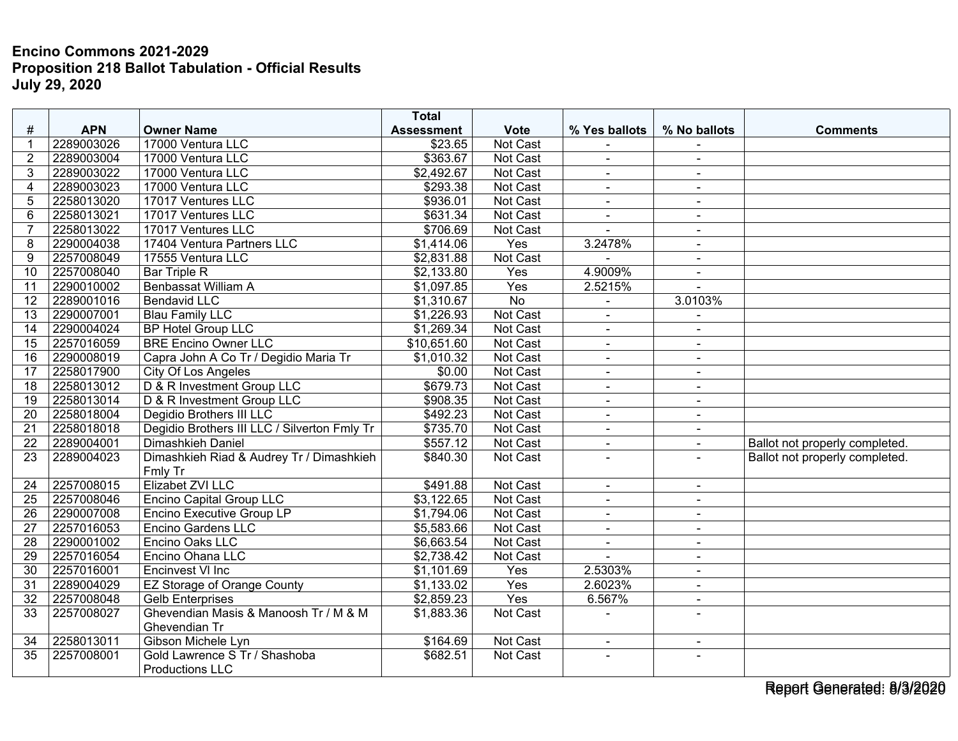## **Encino Commons 2021-2029 Proposition 218 Ballot Tabulation - Official Results July 29, 2020**

|                 |            |                                                         | <b>Total</b>      |                 |                |                          |                                |
|-----------------|------------|---------------------------------------------------------|-------------------|-----------------|----------------|--------------------------|--------------------------------|
| #               | <b>APN</b> | <b>Owner Name</b>                                       | <b>Assessment</b> | <b>Vote</b>     | % Yes ballots  | % No ballots             | <b>Comments</b>                |
| -1              | 2289003026 | 17000 Ventura LLC                                       | \$23.65           | Not Cast        |                |                          |                                |
| $\overline{2}$  | 2289003004 | 17000 Ventura LLC                                       | \$363.67          | <b>Not Cast</b> | $\blacksquare$ | $\sim$                   |                                |
| 3               | 2289003022 | 17000 Ventura LLC                                       | \$2,492.67        | Not Cast        | $\blacksquare$ | $\overline{\phantom{a}}$ |                                |
| $\overline{A}$  | 2289003023 | 17000 Ventura LLC                                       | \$293.38          | Not Cast        | $\blacksquare$ | $\sim$                   |                                |
| 5               | 2258013020 | 17017 Ventures LLC                                      | \$936.01          | Not Cast        | $\blacksquare$ | $\sim$                   |                                |
| 6               | 2258013021 | 17017 Ventures LLC                                      | \$631.34          | Not Cast        | $\blacksquare$ | $\sim$                   |                                |
| $\overline{7}$  | 2258013022 | 17017 Ventures LLC                                      | \$706.69          | Not Cast        |                | $\sim$                   |                                |
| 8               | 2290004038 | 17404 Ventura Partners LLC                              | \$1,414.06        | Yes             | 3.2478%        | $\overline{\phantom{a}}$ |                                |
| 9               | 2257008049 | 17555 Ventura LLC                                       | \$2,831.88        | Not Cast        |                | $\sim$                   |                                |
| 10              | 2257008040 | <b>Bar Triple R</b>                                     | \$2,133.80        | Yes             | 4.9009%        | $\sim$                   |                                |
| 11              | 2290010002 | <b>Benbassat William A</b>                              | \$1,097.85        | Yes             | 2.5215%        |                          |                                |
| $\overline{12}$ | 2289001016 | <b>Bendavid LLC</b>                                     | \$1,310.67        | $\overline{No}$ | $\blacksquare$ | 3.0103%                  |                                |
| 13              | 2290007001 | <b>Blau Family LLC</b>                                  | \$1,226.93        | Not Cast        | ä,             |                          |                                |
| 14              | 2290004024 | <b>BP Hotel Group LLC</b>                               | \$1,269.34        | Not Cast        | $\blacksquare$ | $\sim$                   |                                |
| 15              | 2257016059 | <b>BRE Encino Owner LLC</b>                             | \$10,651.60       | Not Cast        | $\overline{a}$ | $\sim$                   |                                |
| 16              | 2290008019 | Capra John A Co Tr / Degidio Maria Tr                   | \$1,010.32        | Not Cast        | $\blacksquare$ | $\sim$                   |                                |
| 17              | 2258017900 | <b>City Of Los Angeles</b>                              | \$0.00            | <b>Not Cast</b> | $\blacksquare$ | $\sim$                   |                                |
| $\overline{18}$ | 2258013012 | D & R Investment Group LLC                              | \$679.73          | Not Cast        | $\blacksquare$ | $\sim$                   |                                |
| 19              | 2258013014 | D & R Investment Group LLC                              | \$908.35          | Not Cast        | $\blacksquare$ | $\blacksquare$           |                                |
| 20              | 2258018004 | Degidio Brothers III LLC                                | \$492.23          | Not Cast        | $\blacksquare$ | $\sim$                   |                                |
| 21              | 2258018018 | Degidio Brothers III LLC / Silverton Fmly Tr            | \$735.70          | Not Cast        | $\blacksquare$ | $\sim$                   |                                |
| 22              | 2289004001 | Dimashkieh Daniel                                       | \$557.12          | Not Cast        | $\overline{a}$ |                          | Ballot not properly completed. |
| 23              | 2289004023 | Dimashkieh Riad & Audrey Tr / Dimashkieh<br>Fmly Tr     | \$840.30          | Not Cast        | ÷              | $\overline{\phantom{a}}$ | Ballot not properly completed. |
| 24              | 2257008015 | Elizabet ZVI LLC                                        | \$491.88          | Not Cast        | $\blacksquare$ | $\blacksquare$           |                                |
| 25              | 2257008046 | <b>Encino Capital Group LLC</b>                         | \$3,122.65        | Not Cast        | $\blacksquare$ | $\sim$                   |                                |
| $\overline{26}$ | 2290007008 | <b>Encino Executive Group LP</b>                        | \$1,794.06        | Not Cast        | $\blacksquare$ | $\sim$                   |                                |
| 27              | 2257016053 | <b>Encino Gardens LLC</b>                               | \$5,583.66        | Not Cast        | $\blacksquare$ | $\overline{a}$           |                                |
| $\overline{28}$ | 2290001002 | Encino Oaks LLC                                         | \$6,663.54        | Not Cast        | L.             | $\mathbf{r}$             |                                |
| 29              | 2257016054 | Encino Ohana LLC                                        | \$2,738.42        | Not Cast        | $\overline{a}$ | $\sim$                   |                                |
| 30              | 2257016001 | Encinvest VI Inc                                        | \$1,101.69        | Yes             | 2.5303%        | $\overline{a}$           |                                |
| 31              | 2289004029 | EZ Storage of Orange County                             | \$1,133.02        | Yes             | 2.6023%        | $\overline{\phantom{a}}$ |                                |
| $\overline{32}$ | 2257008048 | <b>Gelb Enterprises</b>                                 | \$2,859.23        | Yes             | 6.567%         | $\sim$                   |                                |
| 33              | 2257008027 | Ghevendian Masis & Manoosh Tr / M & M<br>Ghevendian Tr  | \$1,883.36        | Not Cast        |                | $\sim$                   |                                |
| 34              | 2258013011 | Gibson Michele Lyn                                      | \$164.69          | Not Cast        | $\blacksquare$ |                          |                                |
| $\overline{35}$ | 2257008001 | Gold Lawrence S Tr / Shashoba<br><b>Productions LLC</b> | \$682.51          | Not Cast        | $\sim$         | $\sim$                   |                                |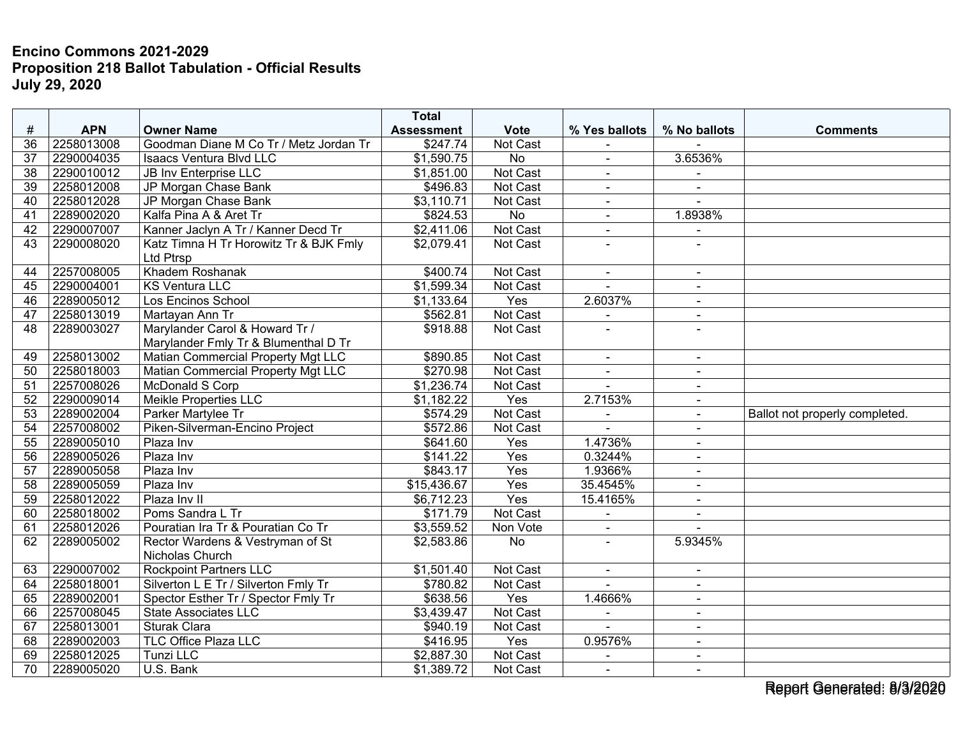## **Encino Commons 2021-2029 Proposition 218 Ballot Tabulation - Official Results July 29, 2020**

|                 |            |                                        | <b>Total</b>      |                 |                |                          |                                |
|-----------------|------------|----------------------------------------|-------------------|-----------------|----------------|--------------------------|--------------------------------|
| #               | <b>APN</b> | <b>Owner Name</b>                      | <b>Assessment</b> | <b>Vote</b>     | % Yes ballots  | % No ballots             | <b>Comments</b>                |
| 36              | 2258013008 | Goodman Diane M Co Tr / Metz Jordan Tr | \$247.74          | Not Cast        |                |                          |                                |
| 37              | 2290004035 | <b>Isaacs Ventura Blvd LLC</b>         | \$1,590.75        | No              | $\blacksquare$ | 3.6536%                  |                                |
| $\overline{38}$ | 2290010012 | <b>JB Inv Enterprise LLC</b>           | \$1,851.00        | <b>Not Cast</b> | $\blacksquare$ | $\sim$                   |                                |
| 39              | 2258012008 | JP Morgan Chase Bank                   | \$496.83          | Not Cast        | $\blacksquare$ |                          |                                |
| 40              | 2258012028 | JP Morgan Chase Bank                   | \$3,110.71        | <b>Not Cast</b> | $\blacksquare$ | $\sim$                   |                                |
| 41              | 2289002020 | Kalfa Pina A & Aret Tr                 | \$824.53          | $\overline{No}$ | $\overline{a}$ | 1.8938%                  |                                |
| 42              | 2290007007 | Kanner Jaclyn A Tr / Kanner Decd Tr    | \$2,411.06        | Not Cast        | $\blacksquare$ | $\blacksquare$           |                                |
| 43              | 2290008020 | Katz Timna H Tr Horowitz Tr & BJK Fmly | \$2,079.41        | <b>Not Cast</b> |                | $\overline{a}$           |                                |
|                 |            | Ltd Ptrsp                              |                   |                 |                |                          |                                |
| 44              | 2257008005 | Khadem Roshanak                        | \$400.74          | Not Cast        | $\sim$         | $\blacksquare$           |                                |
| 45              | 2290004001 | <b>KS Ventura LLC</b>                  | \$1,599.34        | Not Cast        |                |                          |                                |
| 46              | 2289005012 | Los Encinos School                     | \$1,133.64        | Yes             | 2.6037%        | $\sim$                   |                                |
| 47              | 2258013019 | Martayan Ann Tr                        | \$562.81          | <b>Not Cast</b> | $\blacksquare$ | $\sim$                   |                                |
| 48              | 2289003027 | Marylander Carol & Howard Tr /         | \$918.88          | Not Cast        |                |                          |                                |
|                 |            | Marylander Fmly Tr & Blumenthal D Tr   |                   |                 |                |                          |                                |
| 49              | 2258013002 | Matian Commercial Property Mgt LLC     | \$890.85          | Not Cast        | $\blacksquare$ | $\sim$                   |                                |
| 50              | 2258018003 | Matian Commercial Property Mgt LLC     | \$270.98          | Not Cast        | $\blacksquare$ | $\blacksquare$           |                                |
| 51              | 2257008026 | <b>McDonald S Corp</b>                 | \$1,236.74        | Not Cast        |                |                          |                                |
| $\overline{52}$ | 2290009014 | <b>Meikle Properties LLC</b>           | \$1,182.22        | Yes             | 2.7153%        | $\sim$                   |                                |
| 53              | 2289002004 | Parker Martylee Tr                     | \$574.29          | Not Cast        | ä,             | $\sim$                   | Ballot not properly completed. |
| 54              | 2257008002 | Piken-Silverman-Encino Project         | \$572.86          | Not Cast        |                |                          |                                |
| $\overline{55}$ | 2289005010 | Plaza Inv                              | \$641.60          | Yes             | 1.4736%        | $\sim$                   |                                |
| 56              | 2289005026 | Plaza Inv                              | \$141.22          | Yes             | 0.3244%        | $\sim$                   |                                |
| 57              | 2289005058 | Plaza Inv                              | \$843.17          | Yes             | 1.9366%        | $\sim$                   |                                |
| $\overline{58}$ | 2289005059 | Plaza Inv                              | \$15,436.67       | Yes             | 35.4545%       |                          |                                |
| 59              | 2258012022 | Plaza Inv II                           | \$6,712.23        | Yes             | 15.4165%       | $\overline{\phantom{a}}$ |                                |
| 60              | 2258018002 | Poms Sandra L Tr                       | \$171.79          | Not Cast        |                | $\overline{a}$           |                                |
| 61              | 2258012026 | Pouratian Ira Tr & Pouratian Co Tr     | \$3,559.52        | Non Vote        | $\blacksquare$ |                          |                                |
| 62              | 2289005002 | Rector Wardens & Vestryman of St       | \$2,583.86        | <b>No</b>       | ÷              | 5.9345%                  |                                |
|                 |            | Nicholas Church                        |                   |                 |                |                          |                                |
| 63              | 2290007002 | <b>Rockpoint Partners LLC</b>          | \$1,501.40        | Not Cast        | $\blacksquare$ | $\blacksquare$           |                                |
| 64              | 2258018001 | Silverton L E Tr / Silverton Fmly Tr   | \$780.82          | Not Cast        |                |                          |                                |
| 65              | 2289002001 | Spector Esther Tr / Spector Fmly Tr    | \$638.56          | Yes             | 1.4666%        | $\sim$                   |                                |
| 66              | 2257008045 | <b>State Associates LLC</b>            | \$3,439.47        | Not Cast        | $\blacksquare$ | $\sim$                   |                                |
| 67              | 2258013001 | Sturak Clara                           | \$940.19          | Not Cast        |                | $\sim$                   |                                |
| 68              | 2289002003 | <b>TLC Office Plaza LLC</b>            | \$416.95          | Yes             | 0.9576%        | $\sim$                   |                                |
| 69              | 2258012025 | <b>Tunzi LLC</b>                       | \$2,887.30        | Not Cast        | $\sim$         | $\sim$                   |                                |
| 70              | 2289005020 | U.S. Bank                              | \$1,389.72        | Not Cast        | $\blacksquare$ | $\blacksquare$           |                                |